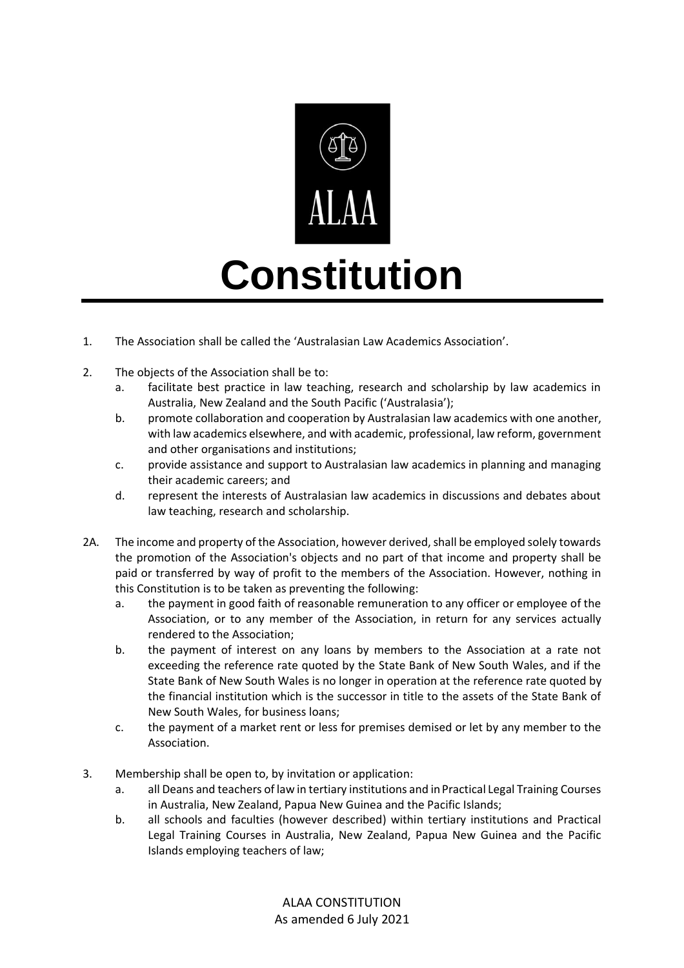

## **Constitution**

- 1. The Association shall be called the 'Australasian Law Academics Association'.
- 2. The objects of the Association shall be to:
	- a. facilitate best practice in law teaching, research and scholarship by law academics in Australia, New Zealand and the South Pacific ('Australasia');
	- b. promote collaboration and cooperation by Australasian law academics with one another, with law academics elsewhere, and with academic, professional, law reform, government and other organisations and institutions;
	- c. provide assistance and support to Australasian law academics in planning and managing their academic careers; and
	- d. represent the interests of Australasian law academics in discussions and debates about law teaching, research and scholarship.
- 2A. The income and property of the Association, however derived, shall be employed solely towards the promotion of the Association's objects and no part of that income and property shall be paid or transferred by way of profit to the members of the Association. However, nothing in this Constitution is to be taken as preventing the following:
	- a. the payment in good faith of reasonable remuneration to any officer or employee of the Association, or to any member of the Association, in return for any services actually rendered to the Association;
	- b. the payment of interest on any loans by members to the Association at a rate not exceeding the reference rate quoted by the State Bank of New South Wales, and if the State Bank of New South Wales is no longer in operation at the reference rate quoted by the financial institution which is the successor in title to the assets of the State Bank of New South Wales, for business loans;
	- c. the payment of a market rent or less for premises demised or let by any member to the Association.
- 3. Membership shall be open to, by invitation or application:
	- a. all Deans and teachers of law in tertiary institutions and in Practical Legal Training Courses in Australia, New Zealand, Papua New Guinea and the Pacific Islands;
	- b. all schools and faculties (however described) within tertiary institutions and Practical Legal Training Courses in Australia, New Zealand, Papua New Guinea and the Pacific Islands employing teachers of law;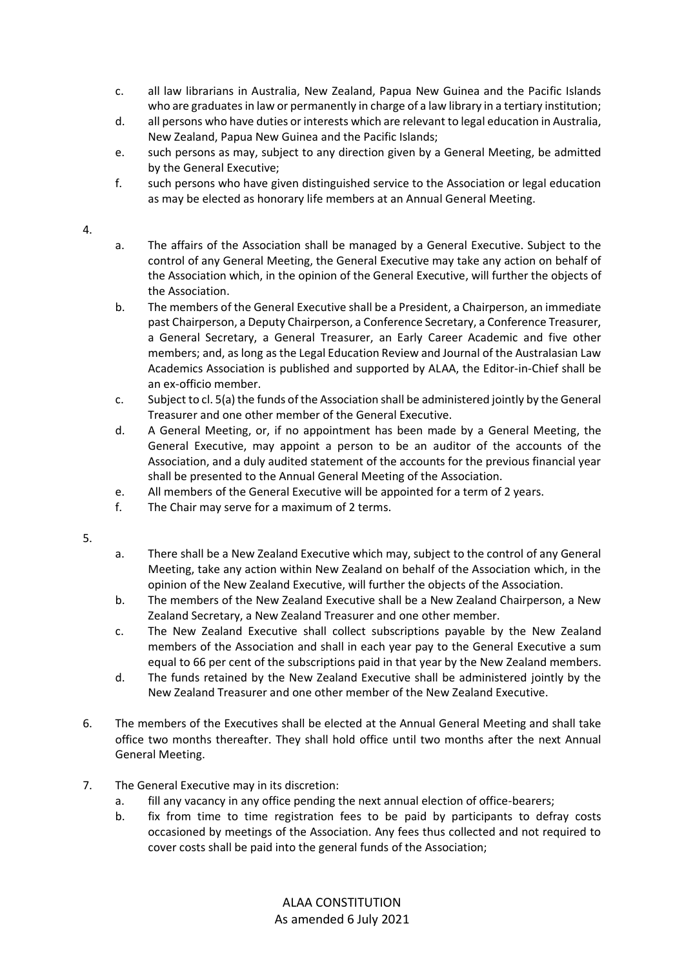- c. all law librarians in Australia, New Zealand, Papua New Guinea and the Pacific Islands who are graduates in law or permanently in charge of a law library in a tertiary institution;
- d. all persons who have duties or interests which are relevant to legal education in Australia, New Zealand, Papua New Guinea and the Pacific Islands;
- e. such persons as may, subject to any direction given by a General Meeting, be admitted by the General Executive;
- f. such persons who have given distinguished service to the Association or legal education as may be elected as honorary life members at an Annual General Meeting.

## 4.

- a. The affairs of the Association shall be managed by a General Executive. Subject to the control of any General Meeting, the General Executive may take any action on behalf of the Association which, in the opinion of the General Executive, will further the objects of the Association.
- b. The members of the General Executive shall be a President, a Chairperson, an immediate past Chairperson, a Deputy Chairperson, a Conference Secretary, a Conference Treasurer, a General Secretary, a General Treasurer, an Early Career Academic and five other members; and, as long as the Legal Education Review and Journal of the Australasian Law Academics Association is published and supported by ALAA, the Editor-in-Chief shall be an ex-officio member.
- c. Subject to cl. 5(a) the funds of the Association shall be administered jointly by the General Treasurer and one other member of the General Executive.
- d. A General Meeting, or, if no appointment has been made by a General Meeting, the General Executive, may appoint a person to be an auditor of the accounts of the Association, and a duly audited statement of the accounts for the previous financial year shall be presented to the Annual General Meeting of the Association.
- e. All members of the General Executive will be appointed for a term of 2 years.
- f. The Chair may serve for a maximum of 2 terms.

5.

- a. There shall be a New Zealand Executive which may, subject to the control of any General Meeting, take any action within New Zealand on behalf of the Association which, in the opinion of the New Zealand Executive, will further the objects of the Association.
- b. The members of the New Zealand Executive shall be a New Zealand Chairperson, a New Zealand Secretary, a New Zealand Treasurer and one other member.
- c. The New Zealand Executive shall collect subscriptions payable by the New Zealand members of the Association and shall in each year pay to the General Executive a sum equal to 66 per cent of the subscriptions paid in that year by the New Zealand members.
- d. The funds retained by the New Zealand Executive shall be administered jointly by the New Zealand Treasurer and one other member of the New Zealand Executive.
- 6. The members of the Executives shall be elected at the Annual General Meeting and shall take office two months thereafter. They shall hold office until two months after the next Annual General Meeting.
- 7. The General Executive may in its discretion:
	- a. fill any vacancy in any office pending the next annual election of office-bearers;
	- b. fix from time to time registration fees to be paid by participants to defray costs occasioned by meetings of the Association. Any fees thus collected and not required to cover costs shall be paid into the general funds of the Association;